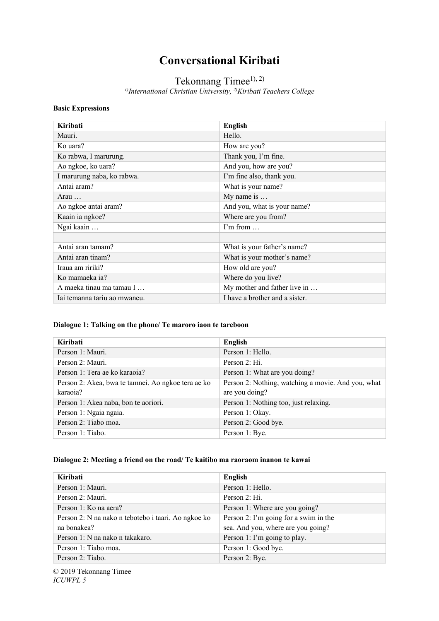# **Conversational Kiribati**

# Tekonnang Timee<sup>1), 2)</sup>

*1)International Christian University, 2)Kiribati Teachers College*

#### **Basic Expressions**

| Kiribati                     | <b>English</b>                 |
|------------------------------|--------------------------------|
| Mauri.                       | Hello.                         |
| Ko uara?                     | How are you?                   |
| Ko rabwa, I marurung.        | Thank you, I'm fine.           |
| Ao ngkoe, ko uara?           | And you, how are you?          |
| I marurung naba, ko rabwa.   | I'm fine also, thank you.      |
| Antai aram?                  | What is your name?             |
| Arau $\dots$                 | My name is                     |
| Ao ngkoe antai aram?         | And you, what is your name?    |
| Kaain ia ngkoe?              | Where are you from?            |
| Ngai kaain                   | $\Gamma$ m from                |
|                              |                                |
| Antai aran tamam?            | What is your father's name?    |
| Antai aran tinam?            | What is your mother's name?    |
| Iraua am ririki?             | How old are you?               |
| Ko mamaeka ia?               | Where do you live?             |
| A maeka tinau ma tamau I     | My mother and father live in   |
| Iai temanna tariu ao mwaneu. | I have a brother and a sister. |

# **Dialogue 1: Talking on the phone/ Te maroro iaon te tareboon**

| Kiribati                                           | English                                            |
|----------------------------------------------------|----------------------------------------------------|
| Person 1: Mauri.                                   | Person 1: Hello.                                   |
| Person 2: Mauri.                                   | Person 2: Hi.                                      |
| Person 1: Tera ae ko karaoja?                      | Person 1: What are you doing?                      |
| Person 2: Akea, bwa te tamnei. Ao ngkoe tera ae ko | Person 2: Nothing, watching a movie. And you, what |
| karaoia?                                           | are you doing?                                     |
| Person 1: Akea naba, bon te aoriori.               | Person 1: Nothing too, just relaxing.              |
| Person 1: Ngaia ngaia.                             | Person 1: Okay.                                    |
| Person 2: Tiabo moa.                               | Person 2: Good bye.                                |
| Person 1: Tiabo.                                   | Person 1: Bye.                                     |

#### **Dialogue 2: Meeting a friend on the road/ Te kaitibo ma raoraom inanon te kawai**

| Kiribati                                            | <b>English</b>                        |
|-----------------------------------------------------|---------------------------------------|
| Person 1: Mauri.                                    | Person 1: Hello.                      |
| Person 2: Mauri.                                    | Person 2: Hi.                         |
| Person 1: Ko na aera?                               | Person 1: Where are you going?        |
| Person 2: N na nako n tebotebo i taari. Ao ngkoe ko | Person 2: I'm going for a swim in the |
| na bonakea?                                         | sea. And you, where are you going?    |
| Person 1: N na nako n takakaro.                     | Person 1: I'm going to play.          |
| Person 1: Tiabo moa.                                | Person 1: Good bye.                   |
| Person 2: Tiabo.                                    | Person 2: Bye.                        |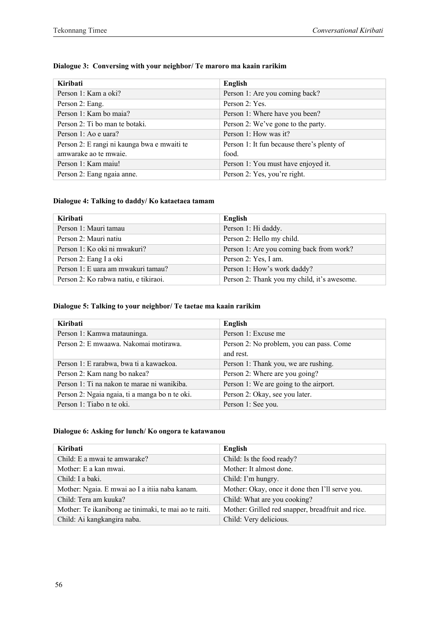| Kiribati                                    | English                                    |
|---------------------------------------------|--------------------------------------------|
| Person 1: Kam a oki?                        | Person 1: Are you coming back?             |
| Person 2: Eang.                             | Person 2: Yes.                             |
| Person 1: Kam bo maia?                      | Person 1: Where have you been?             |
| Person 2: Ti bo man te botaki.              | Person 2: We've gone to the party.         |
| Person 1: Ao e uara?                        | Person 1: How was it?                      |
| Person 2: E rangi ni kaunga bwa e mwaiti te | Person 1: It fun because there's plenty of |
| amwarake ao te mwaie.                       | food.                                      |
| Person 1: Kam maiu!                         | Person 1: You must have enjoyed it.        |
| Person 2: Eang ngaia anne.                  | Person 2: Yes, you're right.               |

# **Dialogue 3: Conversing with your neighbor/ Te maroro ma kaain rarikim**

#### **Dialogue 4: Talking to daddy/ Ko kataetaea tamam**

| Kiribati                              | English                                     |
|---------------------------------------|---------------------------------------------|
| Person 1: Mauri tamau                 | Person 1: Hi daddy.                         |
| Person 2: Mauri natiu                 | Person 2: Hello my child.                   |
| Person 1: Ko oki ni mwakuri?          | Person 1: Are you coming back from work?    |
| Person 2: Eang I a oki                | Person 2: Yes, I am.                        |
| Person 1: E uara am mwakuri tamau?    | Person 1: How's work daddy?                 |
| Person 2: Ko rabwa natiu, e tikiraoi. | Person 2: Thank you my child, it's awesome. |

#### **Dialogue 5: Talking to your neighbor/ Te taetae ma kaain rarikim**

| Kiribati                                       | English                                  |
|------------------------------------------------|------------------------------------------|
| Person 1: Kamwa matauninga.                    | Person 1: Excuse me                      |
| Person 2: E mwaawa. Nakomai motirawa.          | Person 2: No problem, you can pass. Come |
|                                                | and rest.                                |
| Person 1: E rarabwa, bwa ti a kawaekoa.        | Person 1: Thank you, we are rushing.     |
| Person 2: Kam nang bo nakea?                   | Person 2: Where are you going?           |
| Person 1: Ti na nakon te marae ni wanikiba.    | Person 1: We are going to the airport.   |
| Person 2: Ngaia ngaia, ti a manga bo n te oki. | Person 2: Okay, see you later.           |
| Person 1: Tiabo n te oki.                      | Person 1: See you.                       |

# **Dialogue 6: Asking for lunch/ Ko ongora te katawanou**

| Kiribati                                              | English                                           |
|-------------------------------------------------------|---------------------------------------------------|
| Child: E a mwai te amwarake?                          | Child: Is the food ready?                         |
| Mother: E a kan mwai.                                 | Mother: It almost done.                           |
| Child: I a baki.                                      | Child: I'm hungry.                                |
| Mother: Ngaia. E mwai ao I a itiia naba kanam.        | Mother: Okay, once it done then I'll serve you.   |
| Child: Tera am kuuka?                                 | Child: What are you cooking?                      |
| Mother: Te ikanibong ae tinimaki, te mai ao te raiti. | Mother: Grilled red snapper, breadfruit and rice. |
| Child: Ai kangkangira naba.                           | Child: Very delicious.                            |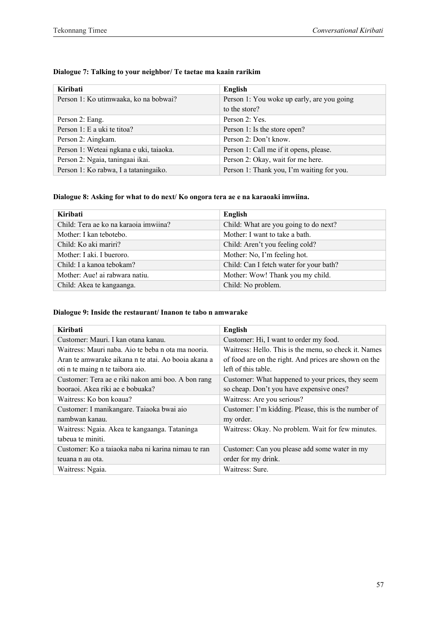| Dialogue 7: Talking to your neighbor/ Te taetae ma kaain rarikim |  |  |
|------------------------------------------------------------------|--|--|
|                                                                  |  |  |

| Kiribati                                | English                                    |
|-----------------------------------------|--------------------------------------------|
| Person 1: Ko utimwaaka, ko na bobwai?   | Person 1: You woke up early, are you going |
|                                         | to the store?                              |
| Person 2: Eang.                         | Person 2: Yes.                             |
| Person 1: E a uki te titoa?             | Person 1: Is the store open?               |
| Person 2: Aingkam.                      | Person 2: Don't know.                      |
| Person 1: Weteai ngkana e uki, taiaoka. | Person 1: Call me if it opens, please.     |
| Person 2: Ngaia, taningaai ikai.        | Person 2: Okay, wait for me here.          |
| Person 1: Ko rabwa, I a tataningaiko.   | Person 1: Thank you, I'm waiting for you.  |

# **Dialogue 8: Asking for what to do next/ Ko ongora tera ae e na karaoaki imwiina.**

| Kiribati                              | English                                 |
|---------------------------------------|-----------------------------------------|
| Child: Tera ae ko na karaoia imwiina? | Child: What are you going to do next?   |
| Mother: I kan tebotebo.               | Mother: I want to take a bath.          |
| Child: Ko aki mariri?                 | Child: Aren't you feeling cold?         |
| Mother: I aki. I bueroro.             | Mother: No, I'm feeling hot.            |
| Child: I a kanoa tebokam?             | Child: Can I fetch water for your bath? |
| Mother: Aue! ai rabwara natiu.        | Mother: Wow! Thank you my child.        |
| Child: Akea te kangaanga.             | Child: No problem.                      |

# **Dialogue 9: Inside the restaurant/ Inanon te tabo n amwarake**

| Kiribati                                            | <b>English</b>                                        |
|-----------------------------------------------------|-------------------------------------------------------|
| Customer: Mauri. I kan otana kanau.                 | Customer: Hi, I want to order my food.                |
| Waitress: Mauri naba. Aio te beba n ota ma nooria.  | Waitress: Hello. This is the menu, so check it. Names |
| Aran te amwarake aikana n te atai. Ao booia akana a | of food are on the right. And prices are shown on the |
| oti n te maing n te taibora aio.                    | left of this table.                                   |
| Customer: Tera ae e riki nakon ami boo. A bon rang  | Customer: What happened to your prices, they seem     |
| booraoi. Akea riki ae e bobuaka?                    | so cheap. Don't you have expensive ones?              |
| Waitress: Ko bon koaua?                             | Waitress: Are you serious?                            |
| Customer: I manikangare. Taiaoka bwai aio           | Customer: I'm kidding. Please, this is the number of  |
| nambwan kanau.                                      | my order.                                             |
| Waitress: Ngaia. Akea te kangaanga. Tataninga       | Waitress: Okay. No problem. Wait for few minutes.     |
| tabeua te miniti.                                   |                                                       |
| Customer: Ko a taiaoka naba ni karina nimau te ran  | Customer: Can you please add some water in my         |
| teuana n au ota.                                    | order for my drink.                                   |
| Waitress: Ngaia.                                    | Waitress: Sure.                                       |